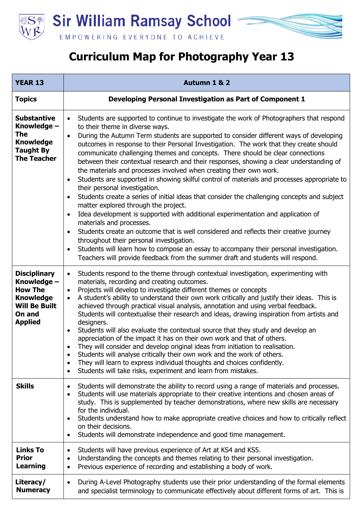

## **Curriculum Map for Photography Year 13**

| <b>YEAR 13</b>                                                                                                               | Autumn 1 & 2                                                                                                                                                                                                                                                                                                                                                                                                                                                                                                                                                                                                                                                                                                                                                                                                                                                                                                                                                                                                                                                                                                                                                                                                                                                                                                                                                             |
|------------------------------------------------------------------------------------------------------------------------------|--------------------------------------------------------------------------------------------------------------------------------------------------------------------------------------------------------------------------------------------------------------------------------------------------------------------------------------------------------------------------------------------------------------------------------------------------------------------------------------------------------------------------------------------------------------------------------------------------------------------------------------------------------------------------------------------------------------------------------------------------------------------------------------------------------------------------------------------------------------------------------------------------------------------------------------------------------------------------------------------------------------------------------------------------------------------------------------------------------------------------------------------------------------------------------------------------------------------------------------------------------------------------------------------------------------------------------------------------------------------------|
| <b>Topics</b>                                                                                                                | Developing Personal Investigation as Part of Component 1                                                                                                                                                                                                                                                                                                                                                                                                                                                                                                                                                                                                                                                                                                                                                                                                                                                                                                                                                                                                                                                                                                                                                                                                                                                                                                                 |
| <b>Substantive</b><br>Knowledge -<br>The<br><b>Knowledge</b><br><b>Taught By</b><br><b>The Teacher</b>                       | Students are supported to continue to investigate the work of Photographers that respond<br>$\bullet$<br>to their theme in diverse ways.<br>During the Autumn Term students are supported to consider different ways of developing<br>$\bullet$<br>outcomes in response to their Personal Investigation. The work that they create should<br>communicate challenging themes and concepts. There should be clear connections<br>between their contextual research and their responses, showing a clear understanding of<br>the materials and processes involved when creating their own work.<br>Students are supported in showing skilful control of materials and processes appropriate to<br>$\bullet$<br>their personal investigation.<br>Students create a series of initial ideas that consider the challenging concepts and subject<br>$\bullet$<br>matter explored through the project.<br>Idea development is supported with additional experimentation and application of<br>$\bullet$<br>materials and processes.<br>Students create an outcome that is well considered and reflects their creative journey<br>$\bullet$<br>throughout their personal investigation.<br>Students will learn how to compose an essay to accompany their personal investigation.<br>$\bullet$<br>Teachers will provide feedback from the summer draft and students will respond. |
| <b>Disciplinary</b><br>Knowledge -<br><b>How The</b><br><b>Knowledge</b><br><b>Will Be Built</b><br>On and<br><b>Applied</b> | Students respond to the theme through contextual investigation, experimenting with<br>$\bullet$<br>materials, recording and creating outcomes.<br>Projects will develop to investigate different themes or concepts<br>$\bullet$<br>A student's ability to understand their own work critically and justify their ideas. This is<br>$\bullet$<br>achieved through practical visual analysis, annotation and using verbal feedback.<br>Students will contextualise their research and ideas, drawing inspiration from artists and<br>designers.<br>Students will also evaluate the contextual source that they study and develop an<br>$\bullet$<br>appreciation of the impact it has on their own work and that of others.<br>They will consider and develop original ideas from initiation to realisation.<br>Students will analyse critically their own work and the work of others.<br>$\bullet$<br>They will learn to express individual thoughts and choices confidently.<br>$\bullet$<br>Students will take risks, experiment and learn from mistakes.<br>$\bullet$                                                                                                                                                                                                                                                                                                |
| <b>Skills</b>                                                                                                                | Students will demonstrate the ability to record using a range of materials and processes.<br>$\bullet$<br>Students will use materials appropriate to their creative intentions and chosen areas of<br>$\bullet$<br>study. This is supplemented by teacher demonstrations, where new skills are necessary<br>for the individual.<br>Students understand how to make appropriate creative choices and how to critically reflect<br>$\bullet$<br>on their decisions.<br>Students will demonstrate independence and good time management.<br>$\bullet$                                                                                                                                                                                                                                                                                                                                                                                                                                                                                                                                                                                                                                                                                                                                                                                                                       |
| <b>Links To</b><br><b>Prior</b><br>Learning                                                                                  | Students will have previous experience of Art at KS4 and KS5.<br>٠<br>Understanding the concepts and themes relating to their personal investigation.<br>$\bullet$<br>Previous experience of recording and establishing a body of work.<br>$\bullet$                                                                                                                                                                                                                                                                                                                                                                                                                                                                                                                                                                                                                                                                                                                                                                                                                                                                                                                                                                                                                                                                                                                     |
| Literacy/<br><b>Numeracy</b>                                                                                                 | During A-Level Photography students use their prior understanding of the formal elements<br>$\bullet$<br>and specialist terminology to communicate effectively about different forms of art. This is                                                                                                                                                                                                                                                                                                                                                                                                                                                                                                                                                                                                                                                                                                                                                                                                                                                                                                                                                                                                                                                                                                                                                                     |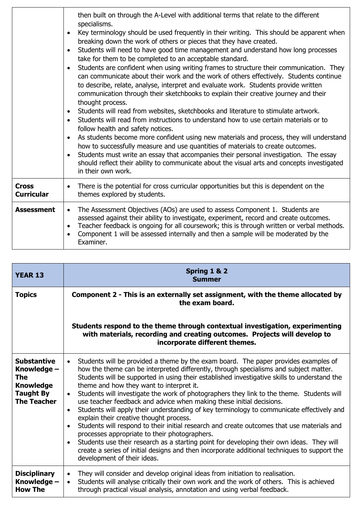|                                   | then built on through the A-Level with additional terms that relate to the different<br>specialisms.<br>Key terminology should be used frequently in their writing. This should be apparent when<br>$\bullet$<br>breaking down the work of others or pieces that they have created.<br>Students will need to have good time management and understand how long processes<br>$\bullet$<br>take for them to be completed to an acceptable standard.<br>Students are confident when using writing frames to structure their communication. They<br>$\bullet$<br>can communicate about their work and the work of others effectively. Students continue<br>to describe, relate, analyse, interpret and evaluate work. Students provide written<br>communication through their sketchbooks to explain their creative journey and their<br>thought process.<br>Students will read from websites, sketchbooks and literature to stimulate artwork.<br>$\bullet$<br>Students will read from instructions to understand how to use certain materials or to<br>follow health and safety notices.<br>As students become more confident using new materials and process, they will understand<br>$\bullet$<br>how to successfully measure and use quantities of materials to create outcomes.<br>Students must write an essay that accompanies their personal investigation. The essay<br>should reflect their ability to communicate about the visual arts and concepts investigated<br>in their own work. |
|-----------------------------------|-------------------------------------------------------------------------------------------------------------------------------------------------------------------------------------------------------------------------------------------------------------------------------------------------------------------------------------------------------------------------------------------------------------------------------------------------------------------------------------------------------------------------------------------------------------------------------------------------------------------------------------------------------------------------------------------------------------------------------------------------------------------------------------------------------------------------------------------------------------------------------------------------------------------------------------------------------------------------------------------------------------------------------------------------------------------------------------------------------------------------------------------------------------------------------------------------------------------------------------------------------------------------------------------------------------------------------------------------------------------------------------------------------------------------------------------------------------------------------------------------|
| <b>Cross</b><br><b>Curricular</b> | There is the potential for cross curricular opportunities but this is dependent on the<br>$\bullet$<br>themes explored by students.                                                                                                                                                                                                                                                                                                                                                                                                                                                                                                                                                                                                                                                                                                                                                                                                                                                                                                                                                                                                                                                                                                                                                                                                                                                                                                                                                             |
| <b>Assessment</b>                 | The Assessment Objectives (AOs) are used to assess Component 1. Students are<br>$\bullet$<br>assessed against their ability to investigate, experiment, record and create outcomes.<br>Teacher feedback is ongoing for all coursework; this is through written or verbal methods.<br>$\bullet$<br>Component 1 will be assessed internally and then a sample will be moderated by the<br>$\bullet$<br>Examiner.                                                                                                                                                                                                                                                                                                                                                                                                                                                                                                                                                                                                                                                                                                                                                                                                                                                                                                                                                                                                                                                                                  |

| <b>YEAR 13</b>                                                                                         | Spring 1 & 2<br><b>Summer</b>                                                                                                                                                                                                                                                                                                                                                                                                                                                                                                                                                                                                                                                                                                                                                                                                                                                                                                                                                                                                                                                     |
|--------------------------------------------------------------------------------------------------------|-----------------------------------------------------------------------------------------------------------------------------------------------------------------------------------------------------------------------------------------------------------------------------------------------------------------------------------------------------------------------------------------------------------------------------------------------------------------------------------------------------------------------------------------------------------------------------------------------------------------------------------------------------------------------------------------------------------------------------------------------------------------------------------------------------------------------------------------------------------------------------------------------------------------------------------------------------------------------------------------------------------------------------------------------------------------------------------|
| <b>Topics</b>                                                                                          | Component 2 - This is an externally set assignment, with the theme allocated by<br>the exam board.                                                                                                                                                                                                                                                                                                                                                                                                                                                                                                                                                                                                                                                                                                                                                                                                                                                                                                                                                                                |
|                                                                                                        | Students respond to the theme through contextual investigation, experimenting<br>with materials, recording and creating outcomes. Projects will develop to<br>incorporate different themes.                                                                                                                                                                                                                                                                                                                                                                                                                                                                                                                                                                                                                                                                                                                                                                                                                                                                                       |
| <b>Substantive</b><br>Knowledge -<br>The<br><b>Knowledge</b><br><b>Taught By</b><br><b>The Teacher</b> | Students will be provided a theme by the exam board. The paper provides examples of<br>$\bullet$<br>how the theme can be interpreted differently, through specialisms and subject matter.<br>Students will be supported in using their established investigative skills to understand the<br>theme and how they want to interpret it.<br>Students will investigate the work of photographers they link to the theme. Students will<br>$\bullet$<br>use teacher feedback and advice when making these initial decisions.<br>Students will apply their understanding of key terminology to communicate effectively and<br>$\bullet$<br>explain their creative thought process.<br>Students will respond to their initial research and create outcomes that use materials and<br>$\bullet$<br>processes appropriate to their photographers.<br>Students use their research as a starting point for developing their own ideas. They will<br>$\bullet$<br>create a series of initial designs and then incorporate additional techniques to support the<br>development of their ideas. |
| <b>Disciplinary</b><br>Knowledge -<br><b>How The</b>                                                   | They will consider and develop original ideas from initiation to realisation.<br>$\bullet$<br>Students will analyse critically their own work and the work of others. This is achieved<br>$\bullet$<br>through practical visual analysis, annotation and using verbal feedback.                                                                                                                                                                                                                                                                                                                                                                                                                                                                                                                                                                                                                                                                                                                                                                                                   |